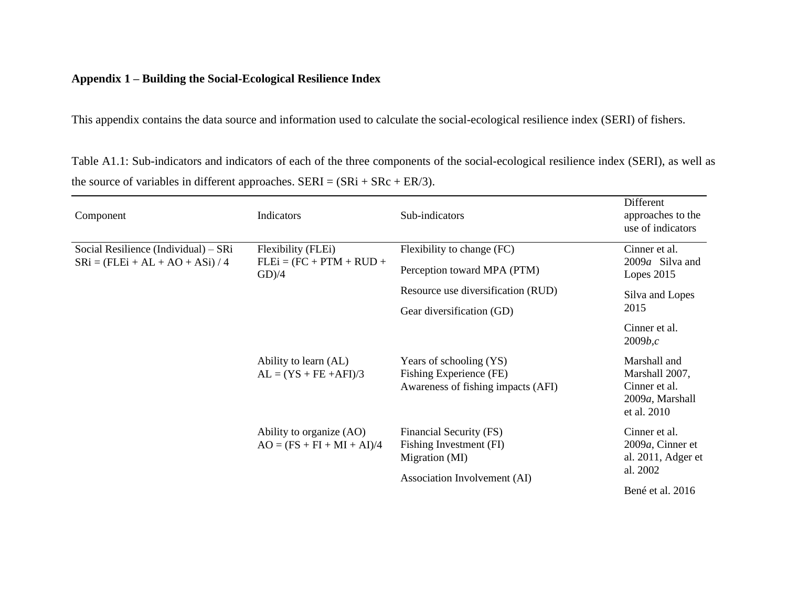## **Appendix 1 – Building the Social-Ecological Resilience Index**

This appendix contains the data source and information used to calculate the social-ecological resilience index (SERI) of fishers.

Table A1.1: Sub-indicators and indicators of each of the three components of the social-ecological resilience index (SERI), as well as the source of variables in different approaches.  $SERI = (SRi + SRc + ER/3)$ .

| Component                                                                | Indicators                                                   | Sub-indicators                                                                           | Different<br>approaches to the<br>use of indicators                               |
|--------------------------------------------------------------------------|--------------------------------------------------------------|------------------------------------------------------------------------------------------|-----------------------------------------------------------------------------------|
| Social Resilience (Individual) – SRi<br>$SRi = (FLEi + AL + AO + ASi)/4$ | Flexibility (FLEi)<br>$FLEi = (FC + PTM + RUD +$<br>$GD$ )/4 | Flexibility to change (FC)                                                               | Cinner et al.                                                                     |
|                                                                          |                                                              | Perception toward MPA (PTM)                                                              | 2009a Silva and<br>Lopes $2015$                                                   |
|                                                                          |                                                              | Resource use diversification (RUD)                                                       | Silva and Lopes<br>2015                                                           |
|                                                                          |                                                              | Gear diversification (GD)                                                                |                                                                                   |
|                                                                          |                                                              |                                                                                          | Cinner et al.<br>2009b,c                                                          |
|                                                                          | Ability to learn (AL)<br>$AL = (YS + FE + AFI)/3$            | Years of schooling (YS)<br>Fishing Experience (FE)<br>Awareness of fishing impacts (AFI) | Marshall and<br>Marshall 2007,<br>Cinner et al.<br>2009a, Marshall<br>et al. 2010 |
|                                                                          | Ability to organize (AO)<br>$AO = (FS + FI + MI + AI)/4$     | Financial Security (FS)<br>Fishing Investment (FI)<br>Migration (MI)                     | Cinner et al.<br>$2009a$ , Cinner et<br>al. 2011, Adger et<br>al. 2002            |
|                                                                          |                                                              | Association Involvement (AI)                                                             | Bené et al. 2016                                                                  |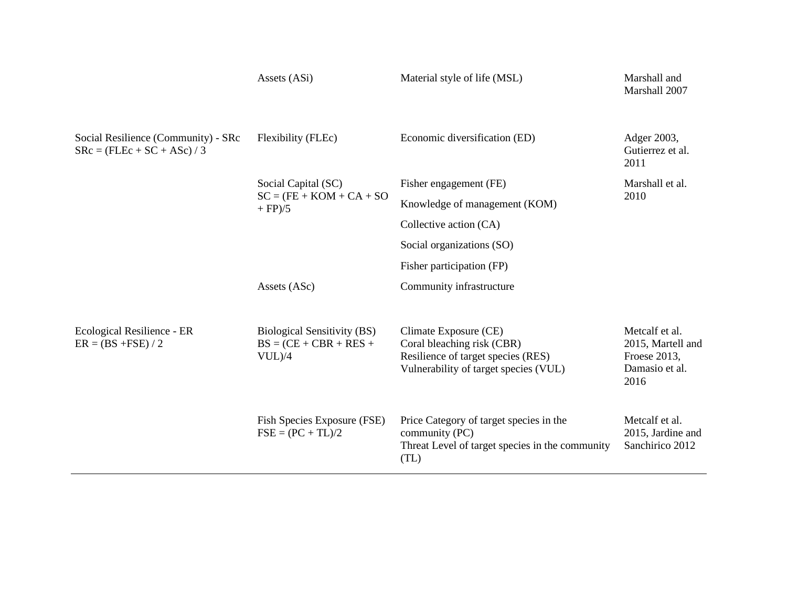|                                                                    | Assets (ASi)                                                                 | Material style of life (MSL)                                                                                                       | Marshall and<br>Marshall 2007                                                 |
|--------------------------------------------------------------------|------------------------------------------------------------------------------|------------------------------------------------------------------------------------------------------------------------------------|-------------------------------------------------------------------------------|
| Social Resilience (Community) - SRc<br>$SRC = (FLEc + SC + ASc)/3$ | Flexibility (FLEc)                                                           | Economic diversification (ED)                                                                                                      | Adger 2003,<br>Gutierrez et al.<br>2011                                       |
|                                                                    | Social Capital (SC)<br>$SC = (FE + KOM + CA + SO)$<br>$+$ FP $)/5$           | Fisher engagement (FE)                                                                                                             | Marshall et al.<br>2010                                                       |
|                                                                    |                                                                              | Knowledge of management (KOM)                                                                                                      |                                                                               |
|                                                                    |                                                                              | Collective action (CA)                                                                                                             |                                                                               |
|                                                                    |                                                                              | Social organizations (SO)                                                                                                          |                                                                               |
|                                                                    |                                                                              | Fisher participation (FP)                                                                                                          |                                                                               |
|                                                                    | Assets (ASc)                                                                 | Community infrastructure                                                                                                           |                                                                               |
|                                                                    |                                                                              |                                                                                                                                    |                                                                               |
| Ecological Resilience - ER<br>$ER = (BS + FSE) / 2$                | <b>Biological Sensitivity (BS)</b><br>$BS = (CE + CBR + RES +$<br>$VUL$ $/4$ | Climate Exposure (CE)<br>Coral bleaching risk (CBR)<br>Resilience of target species (RES)<br>Vulnerability of target species (VUL) | Metcalf et al.<br>2015, Martell and<br>Froese 2013,<br>Damasio et al.<br>2016 |
|                                                                    | Fish Species Exposure (FSE)<br>$FSE = (PC + TL)/2$                           | Price Category of target species in the<br>community (PC)<br>Threat Level of target species in the community<br>(TL)               | Metcalf et al.<br>2015, Jardine and<br>Sanchirico 2012                        |